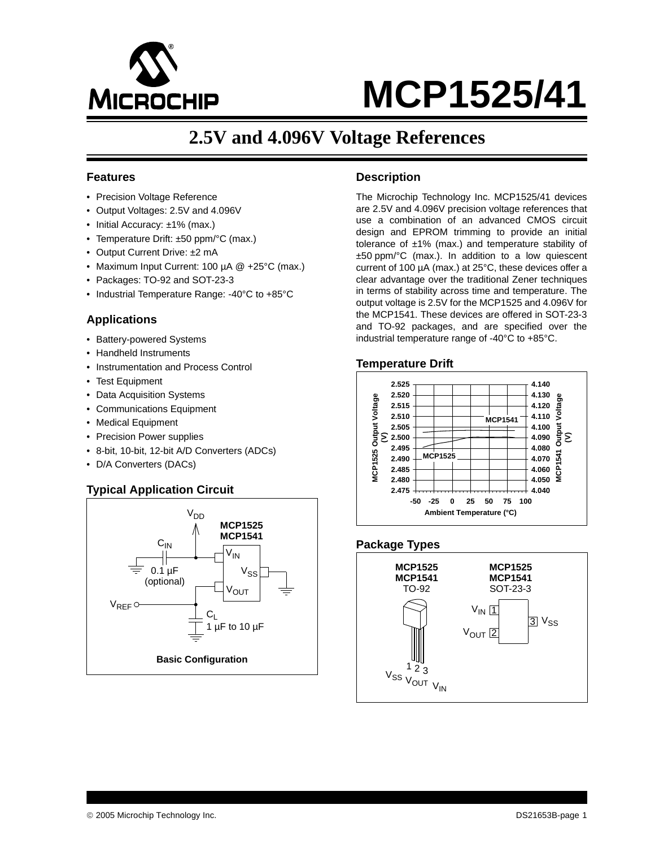

# **MCP1525/41**

# **2.5V and 4.096V Voltage References**

#### **Features**

- Precision Voltage Reference
- Output Voltages: 2.5V and 4.096V
- Initial Accuracy: ±1% (max.)
- Temperature Drift: ±50 ppm/°C (max.)
- Output Current Drive: ±2 mA
- Maximum Input Current: 100 µA @ +25°C (max.)
- Packages: TO-92 and SOT-23-3
- Industrial Temperature Range: -40°C to +85°C

# **Applications**

- Battery-powered Systems
- Handheld Instruments
- Instrumentation and Process Control
- Test Equipment
- Data Acquisition Systems
- Communications Equipment
- Medical Equipment
- Precision Power supplies
- 8-bit, 10-bit, 12-bit A/D Converters (ADCs)
- D/A Converters (DACs)

# **Typical Application Circuit**



# **Description**

The Microchip Technology Inc. MCP1525/41 devices are 2.5V and 4.096V precision voltage references that use a combination of an advanced CMOS circuit design and EPROM trimming to provide an initial tolerance of  $\pm 1\%$  (max.) and temperature stability of  $±50$  ppm/ $°C$  (max.). In addition to a low quiescent current of 100 µA (max.) at 25°C, these devices offer a clear advantage over the traditional Zener techniques in terms of stability across time and temperature. The output voltage is 2.5V for the MCP1525 and 4.096V for the MCP1541. These devices are offered in SOT-23-3 and TO-92 packages, and are specified over the industrial temperature range of -40°C to +85°C.

#### **Temperature Drift**



# **Package Types**

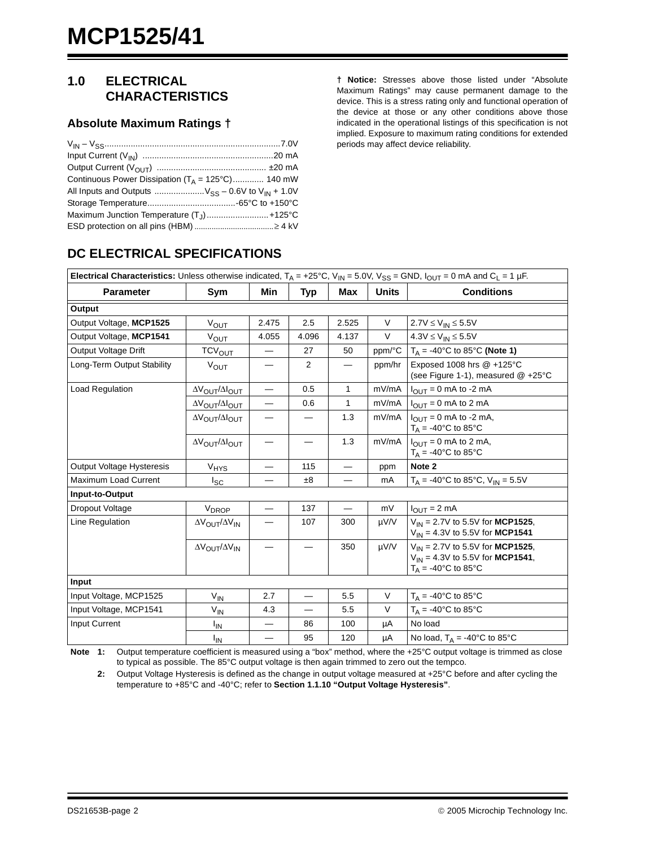# <span id="page-1-2"></span>**1.0 ELECTRICAL CHARACTERISTICS**

# **Absolute Maximum Ratings †**

| Continuous Power Dissipation $(T_A = 125^{\circ}C)$ 140 mW |  |
|------------------------------------------------------------|--|
| All Inputs and Outputs $V_{SS}$ – 0.6V to $V_{IN}$ + 1.0V  |  |
|                                                            |  |
| Maximum Junction Temperature $(T_1)$ +125°C                |  |
|                                                            |  |

**† Notice:** Stresses above those listed under "Absolute Maximum Ratings" may cause permanent damage to the device. This is a stress rating only and functional operation of the device at those or any other conditions above those indicated in the operational listings of this specification is not implied. Exposure to maximum rating conditions for extended periods may affect device reliability.

# **DC ELECTRICAL SPECIFICATIONS**

| Electrical Characteristics: Unless otherwise indicated, $T_A = +25^{\circ}C$ , $V_{IN} = 5.0V$ , $V_{SS} = GND$ , $I_{OUT} = 0$ mA and $C_L = 1$ µF. |                                               |            |            |                          |              |                                                                                                        |  |  |  |
|------------------------------------------------------------------------------------------------------------------------------------------------------|-----------------------------------------------|------------|------------|--------------------------|--------------|--------------------------------------------------------------------------------------------------------|--|--|--|
| <b>Parameter</b>                                                                                                                                     | Sym                                           | <b>Min</b> | <b>Typ</b> | Max                      | <b>Units</b> | <b>Conditions</b>                                                                                      |  |  |  |
| Output                                                                                                                                               |                                               |            |            |                          |              |                                                                                                        |  |  |  |
| Output Voltage, MCP1525                                                                                                                              | $V_{OUT}$                                     | 2.475      | 2.5        | 2.525                    | V            | $2.7V \leq V_{IN} \leq 5.5V$                                                                           |  |  |  |
| Output Voltage, MCP1541                                                                                                                              | $V_{OUT}$                                     | 4.055      | 4.096      | 4.137                    | V            | $4.3V \leq V_{IN} \leq 5.5V$                                                                           |  |  |  |
| <b>Output Voltage Drift</b>                                                                                                                          | <b>TCV<sub>OUT</sub></b>                      | —          | 27         | 50                       | ppm/°C       | $T_A$ = -40°C to 85°C (Note 1)                                                                         |  |  |  |
| Long-Term Output Stability                                                                                                                           | $V_{OUT}$                                     |            | 2          |                          | ppm/hr       | Exposed 1008 hrs @ +125°C<br>(see Figure 1-1), measured @ +25°C                                        |  |  |  |
| Load Regulation                                                                                                                                      | ΔV <sub>OUT</sub> /ΔΙ <sub>ΟUT</sub>          |            | 0.5        | $\mathbf{1}$             | mV/mA        | $I_{OUT} = 0$ mA to -2 mA                                                                              |  |  |  |
|                                                                                                                                                      | ΔV <sub>OUT</sub> /ΔΙ <sub>ΟUT</sub>          |            | 0.6        | $\mathbf{1}$             | mV/mA        | $I_{OUT} = 0$ mA to 2 mA                                                                               |  |  |  |
|                                                                                                                                                      | Δ $V_{\text{OUT}}/ \Delta I_{\text{OUT}}$     |            |            | 1.3                      | mV/mA        | $I_{\text{OUT}} = 0$ mA to -2 mA,<br>$T_A = -40$ °C to 85°C                                            |  |  |  |
|                                                                                                                                                      | $\Delta V_{\text{OUT}}/\Delta I_{\text{OUT}}$ |            |            | 1.3                      | mV/mA        | $I_{\text{OUT}} = 0$ mA to 2 mA,<br>$T_A = -40$ °C to 85°C                                             |  |  |  |
| <b>Output Voltage Hysteresis</b>                                                                                                                     | <b>V<sub>HYS</sub></b>                        |            | 115        | $\overline{\phantom{0}}$ | ppm          | Note 2                                                                                                 |  |  |  |
| Maximum Load Current                                                                                                                                 | $I_{SC}$                                      |            | ±8         |                          | mA           | $T_A = -40$ °C to 85°C, V <sub>IN</sub> = 5.5V                                                         |  |  |  |
| Input-to-Output                                                                                                                                      |                                               |            |            |                          |              |                                                                                                        |  |  |  |
| Dropout Voltage                                                                                                                                      | V <sub>DROP</sub>                             |            | 137        | $\equiv$                 | mV           | $I_{\text{OUT}} = 2 \text{ mA}$                                                                        |  |  |  |
| Line Regulation                                                                                                                                      | $\Delta V_{\text{OUT}}/\Delta V_{\text{IN}}$  |            | 107        | 300                      | µV/V         | $V_{IN}$ = 2.7V to 5.5V for <b>MCP1525</b> ,<br>$V_{IN} = 4.3V$ to 5.5V for <b>MCP1541</b>             |  |  |  |
|                                                                                                                                                      | $\Delta V_{\text{OUT}}/\Delta V_{\text{IN}}$  |            |            | 350                      | µV/V         | $V_{IN}$ = 2.7V to 5.5V for MCP1525,<br>$V_{IN} = 4.3V$ to 5.5V for MCP1541,<br>$T_A = -40$ °C to 85°C |  |  |  |
| Input                                                                                                                                                |                                               |            |            |                          |              |                                                                                                        |  |  |  |
| Input Voltage, MCP1525                                                                                                                               | $V_{IN}$                                      | 2.7        |            | 5.5                      | V            | $T_A = -40$ °C to 85°C                                                                                 |  |  |  |
| Input Voltage, MCP1541                                                                                                                               | $V_{IN}$                                      | 4.3        | $\equiv$   | 5.5                      | V            | $T_A = -40$ °C to 85°C                                                                                 |  |  |  |
| Input Current                                                                                                                                        | ΙW                                            |            | 86         | 100                      | μA           | No load                                                                                                |  |  |  |
|                                                                                                                                                      | Ι <sub>IN</sub>                               |            | 95         | 120                      | μA           | No load, $T_A = -40^{\circ}$ C to 85°C                                                                 |  |  |  |

<span id="page-1-1"></span><span id="page-1-0"></span>Note 1: Output temperature coefficient is measured using a "box" method, where the +25°C output voltage is trimmed as close to typical as possible. The 85°C output voltage is then again trimmed to zero out the tempco.

**2:** Output Voltage Hysteresis is defined as the change in output voltage measured at +25°C before and after cycling the temperature to +85°C and -40°C; refer to **[Section 1.1.10 "Output Voltage Hysteresis"](#page-3-1)**.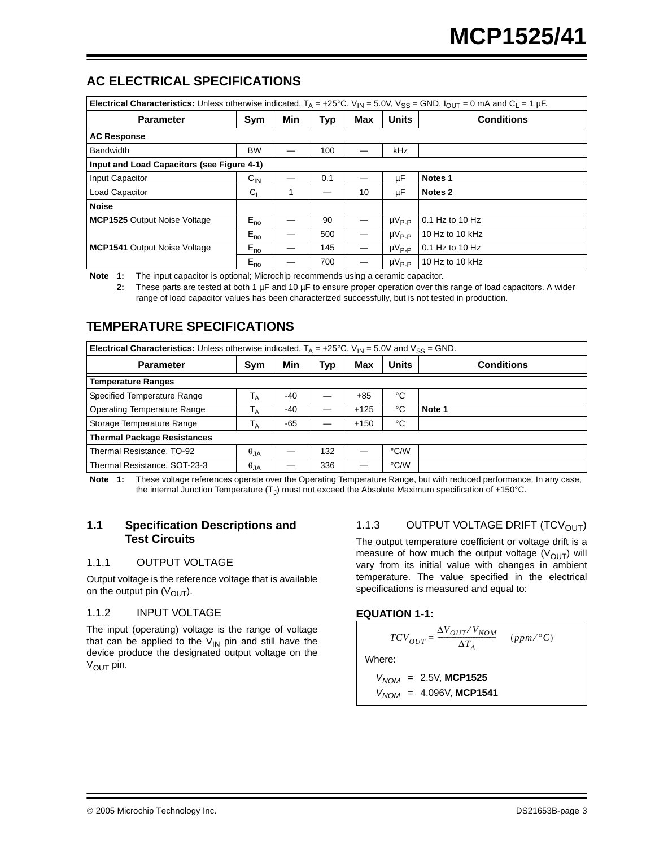# **AC ELECTRICAL SPECIFICATIONS**

| <b>Electrical Characteristics:</b> Unless otherwise indicated, $T_A = +25^{\circ}C$ , $V_{IN} = 5.0V$ , $V_{SS} = GND$ , $I_{OIII} = 0$ mA and $C_1 = 1 \mu F$ . |                   |     |     |     |                      |                    |  |  |
|------------------------------------------------------------------------------------------------------------------------------------------------------------------|-------------------|-----|-----|-----|----------------------|--------------------|--|--|
| <b>Parameter</b>                                                                                                                                                 | Sym               | Min | Typ | Max | <b>Units</b>         | <b>Conditions</b>  |  |  |
| <b>AC Response</b>                                                                                                                                               |                   |     |     |     |                      |                    |  |  |
| <b>Bandwidth</b>                                                                                                                                                 | <b>BW</b>         |     | 100 |     | kHz                  |                    |  |  |
| Input and Load Capacitors (see Figure 4-1)                                                                                                                       |                   |     |     |     |                      |                    |  |  |
| Input Capacitor                                                                                                                                                  | $C_{\mathsf{IN}}$ |     | 0.1 |     | μF                   | Notes <sub>1</sub> |  |  |
| Load Capacitor                                                                                                                                                   | $C_L$             | 1   |     | 10  | μF                   | Notes <sub>2</sub> |  |  |
| <b>Noise</b>                                                                                                                                                     |                   |     |     |     |                      |                    |  |  |
| <b>MCP1525 Output Noise Voltage</b>                                                                                                                              | $E_{\text{no}}$   |     | 90  |     | $\mu V_{\text{P-P}}$ | 0.1 Hz to 10 Hz    |  |  |
|                                                                                                                                                                  | $E_{no}$          |     | 500 |     | $\mu V_{\text{P-P}}$ | 10 Hz to 10 kHz    |  |  |
| <b>MCP1541 Output Noise Voltage</b>                                                                                                                              | $E_{no}$          | —   | 145 |     | $\mu V_{\text{P-P}}$ | $0.1$ Hz to 10 Hz  |  |  |
|                                                                                                                                                                  | $E_{no}$          |     | 700 |     | $\mu V_{\text{P-P}}$ | 10 Hz to 10 kHz    |  |  |

<span id="page-2-1"></span><span id="page-2-0"></span>**Note 1:** The input capacitor is optional; Microchip recommends using a ceramic capacitor.

**2:** These parts are tested at both 1 µF and 10 µF to ensure proper operation over this range of load capacitors. A wider range of load capacitor values has been characterized successfully, but is not tested in production.

# **TEMPERATURE SPECIFICATIONS**

| <b>Electrical Characteristics:</b> Unless otherwise indicated, $T_A = +25^{\circ}C$ , $V_{IN} = 5.0V$ and $V_{SS} = GND$ . |       |     |            |              |                                                                                                                                                                                       |  |  |  |
|----------------------------------------------------------------------------------------------------------------------------|-------|-----|------------|--------------|---------------------------------------------------------------------------------------------------------------------------------------------------------------------------------------|--|--|--|
| Sym                                                                                                                        | Min   | Typ | <b>Max</b> | <b>Units</b> | <b>Conditions</b>                                                                                                                                                                     |  |  |  |
| <b>Temperature Ranges</b>                                                                                                  |       |     |            |              |                                                                                                                                                                                       |  |  |  |
| $\mathsf{I}_{\mathsf{A}}$                                                                                                  | $-40$ |     | $+85$      | °C           |                                                                                                                                                                                       |  |  |  |
| ١A                                                                                                                         | $-40$ |     | $+125$     | °C           | Note 1                                                                                                                                                                                |  |  |  |
| $T_A$                                                                                                                      | $-65$ |     | $+150$     | °C           |                                                                                                                                                                                       |  |  |  |
|                                                                                                                            |       |     |            |              |                                                                                                                                                                                       |  |  |  |
| $\theta_{JA}$                                                                                                              |       | 132 |            | °C/W         |                                                                                                                                                                                       |  |  |  |
| $\theta_{JA}$                                                                                                              |       | 336 |            | °C/W         |                                                                                                                                                                                       |  |  |  |
|                                                                                                                            |       |     |            |              | More $\mathbf{A} = \mathbf{T}$ . The contract of access the same consider $\bigwedge$ access $\mathbf{T}$ access $\bigwedge$ access to the constant $\bigwedge$ access to $\bigwedge$ |  |  |  |

<span id="page-2-2"></span>**Note 1:** These voltage references operate over the Operating Temperature Range, but with reduced performance. In any case, the internal Junction Temperature  $(T<sub>1</sub>)$  must not exceed the Absolute Maximum specification of +150°C.

# <span id="page-2-3"></span>**1.1 Specification Descriptions and Test Circuits**

# 1.1.1 OUTPUT VOLTAGE

Output voltage is the reference voltage that is available on the output pin  $(V_{\text{OUT}})$ .

# 1.1.2 INPUT VOLTAGE

The input (operating) voltage is the range of voltage that can be applied to the  $V_{IN}$  pin and still have the device produce the designated output voltage on the  $V_{\text{OUT}}$  pin.

# 1.1.3 OUTPUT VOLTAGE DRIFT  $(TCV<sub>OUT</sub>)$

The output temperature coefficient or voltage drift is a measure of how much the output voltage  $(V<sub>OUT</sub>)$  will vary from its initial value with changes in ambient temperature. The value specified in the electrical specifications is measured and equal to:

#### **EQUATION 1-1:**

$$
TCV_{OUT} = \frac{\Delta V_{OUT} / V_{NOM}}{\Delta T_A} \qquad (ppm/^{\circ}C)
$$

Where:

$$
V_{NOM} = 2.5V, MCP1525
$$
  

$$
V_{NOM} = 4.096V, MCP1541
$$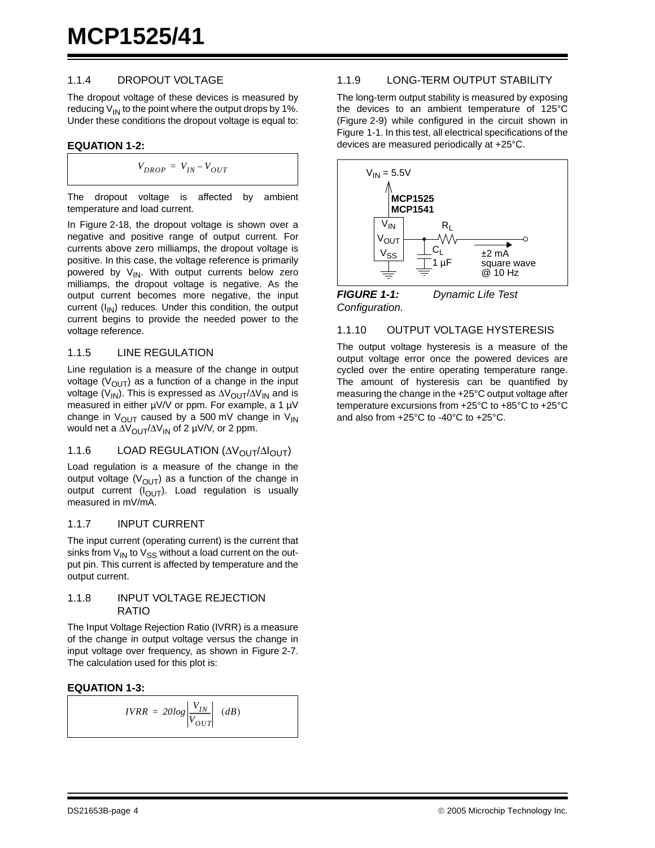# 1.1.4 DROPOUT VOLTAGE

The dropout voltage of these devices is measured by reducing  $V_{1N}$  to the point where the output drops by 1%. Under these conditions the dropout voltage is equal to:

#### **EQUATION 1-2:**

$$
V_{DROP} = V_{IN} - V_{OUT}
$$

The dropout voltage is affected by ambient temperature and load current.

In [Figure 2-18,](#page-6-0) the dropout voltage is shown over a negative and positive range of output current. For currents above zero milliamps, the dropout voltage is positive. In this case, the voltage reference is primarily powered by  $V_{IN}$ . With output currents below zero milliamps, the dropout voltage is negative. As the output current becomes more negative, the input current  $(I_{IN})$  reduces. Under this condition, the output current begins to provide the needed power to the voltage reference.

#### 1.1.5 LINE REGULATION

Line regulation is a measure of the change in output voltage ( $V_{\text{OUT}}$ ) as a function of a change in the input voltage (V<sub>IN</sub>). This is expressed as  $\Delta V_{\text{OUT}}/\Delta V_{\text{IN}}$  and is measured in either  $\mu$ V/V or ppm. For example, a 1  $\mu$ V change in  $V_{\text{OUT}}$  caused by a 500 mV change in  $V_{\text{IN}}$ would net a  $\Delta V_{\text{OUT}}/\Delta V_{\text{IN}}$  of 2 µV/V, or 2 ppm.

# 1.1.6 LOAD REGULATION  $(\Delta V_{\text{OUT}}/\Delta I_{\text{OUT}})$

Load regulation is a measure of the change in the output voltage ( $V_{\text{OUT}}$ ) as a function of the change in output current  $(I<sub>OUT</sub>)$ . Load regulation is usually measured in mV/mA.

#### 1.1.7 INPUT CURRENT

The input current (operating current) is the current that sinks from  $V_{IN}$  to  $V_{SS}$  without a load current on the output pin. This current is affected by temperature and the output current.

#### 1.1.8 INPUT VOLTAGE REJECTION RATIO

The Input Voltage Rejection Ratio (IVRR) is a measure of the change in output voltage versus the change in input voltage over frequency, as shown in [Figure 2-7](#page-5-0). The calculation used for this plot is:

#### **EQUATION 1-3:**

 $\textit{IVRR} = 20 \log \frac{V_{IN}}{V}$  $= 20log \left| \frac{Y_{IN}}{V_{OUT}} \right|$  *(dB)* 

# 1.1.9 LONG-TERM OUTPUT STABILITY

The long-term output stability is measured by exposing the devices to an ambient temperature of 125°C ([Figure 2-9\)](#page-5-1) while configured in the circuit shown in [Figure 1-1.](#page-3-0) In this test, all electrical specifications of the devices are measured periodically at +25°C.



<span id="page-3-0"></span>*FIGURE 1-1: Dynamic Life Test Configuration.*

#### <span id="page-3-1"></span>1.1.10 OUTPUT VOLTAGE HYSTERESIS

The output voltage hysteresis is a measure of the output voltage error once the powered devices are cycled over the entire operating temperature range. The amount of hysteresis can be quantified by measuring the change in the +25°C output voltage after temperature excursions from +25°C to +85°C to +25°C and also from +25°C to -40°C to +25°C.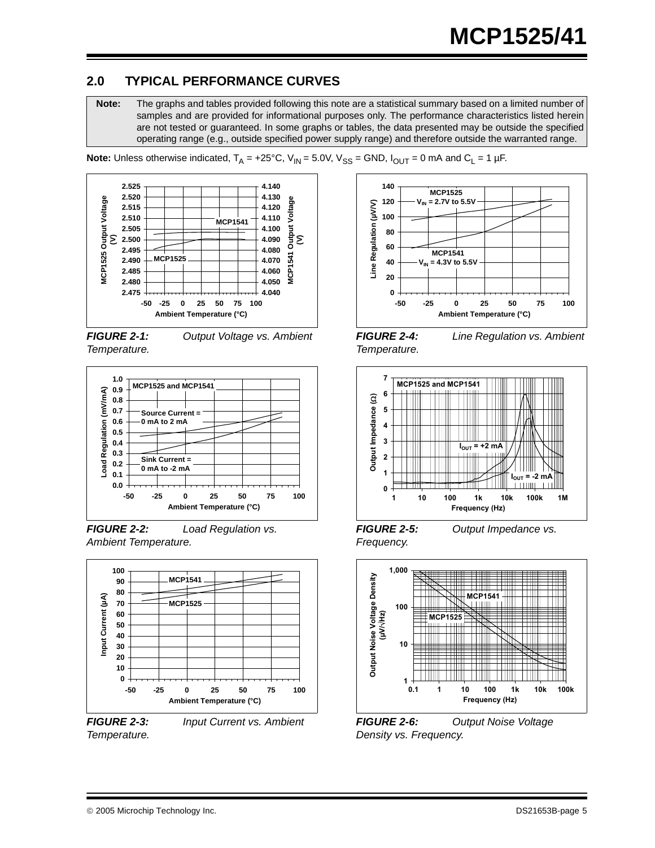# <span id="page-4-0"></span>**2.0 TYPICAL PERFORMANCE CURVES**

**Note:** The graphs and tables provided following this note are a statistical summary based on a limited number of samples and are provided for informational purposes only. The performance characteristics listed herein are not tested or guaranteed. In some graphs or tables, the data presented may be outside the specified operating range (e.g., outside specified power supply range) and therefore outside the warranted range.









*FIGURE 2-2: Load Regulation vs. Ambient Temperature.*



*Temperature.*

*FIGURE 2-3: Input Current vs. Ambient* 



*Temperature.*

*FIGURE 2-4: Line Regulation vs. Ambient* 



*Frequency.*

*FIGURE 2-5: Output Impedance vs.* 



*FIGURE 2-6: Output Noise Voltage Density vs. Frequency.*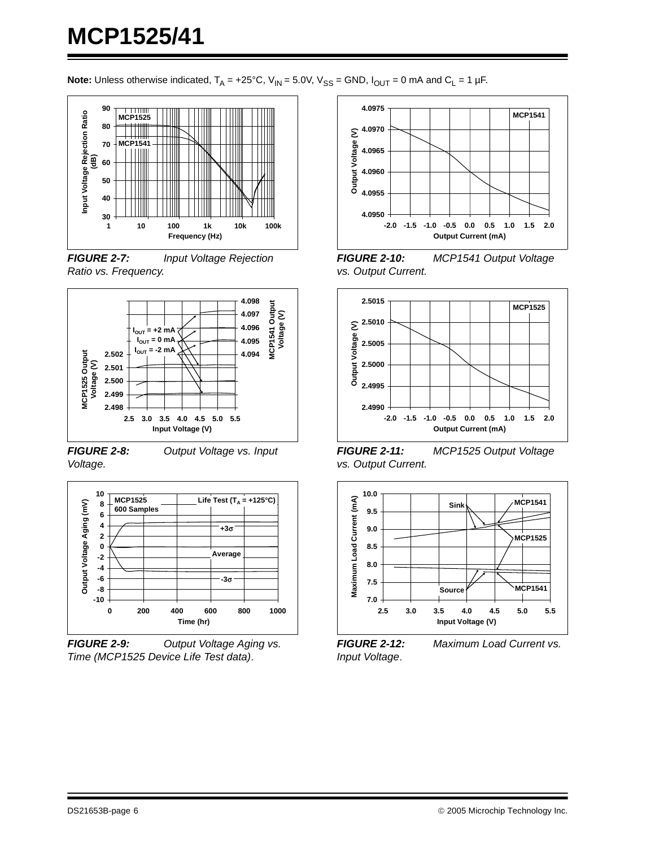# **MCP1525/41**

**Note:** Unless otherwise indicated,  $T_A = +25^\circ C$ ,  $V_{IN} = 5.0V$ ,  $V_{SS} = GND$ ,  $I_{OUT} = 0$  mA and  $C_L = 1 \mu F$ .



<span id="page-5-0"></span>



*FIGURE 2-8: Output Voltage vs. Input Voltage.*



<span id="page-5-1"></span>*FIGURE 2-9: Output Voltage Aging vs. Time (MCP1525 Device Life Test data)*.



*FIGURE 2-10: MCP1541 Output Voltage vs. Output Current.*



*FIGURE 2-11: MCP1525 Output Voltage vs. Output Current.*



*FIGURE 2-12: Maximum Load Current vs. Input Voltage*.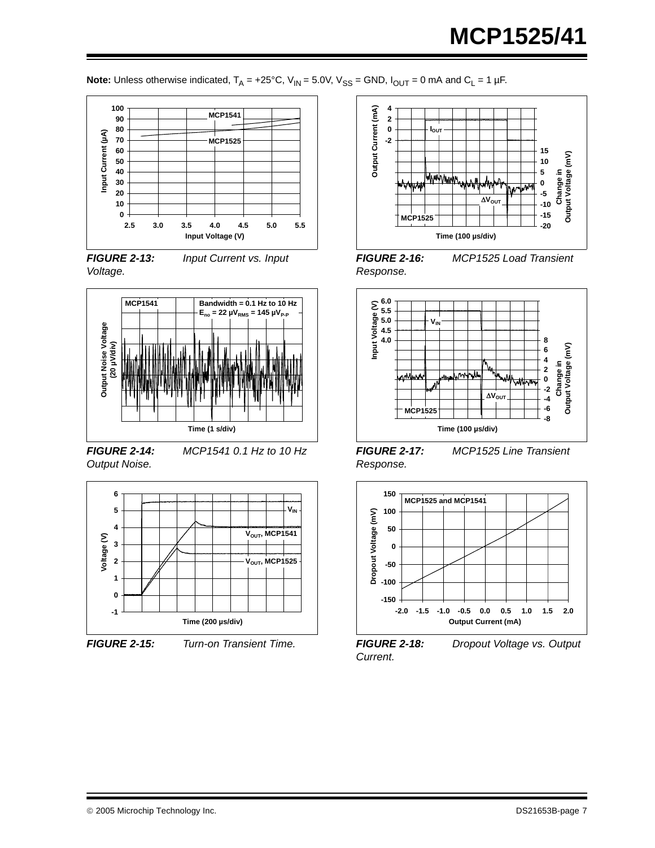**Note:** Unless otherwise indicated,  $T_A = +25^\circ C$ ,  $V_{IN} = 5.0V$ ,  $V_{SS} = GND$ ,  $I_{OUT} = 0$  mA and  $C_L = 1 \mu F$ .







*FIGURE 2-14: MCP1541 0.1 Hz to 10 Hz Output Noise.*



*FIGURE 2-15: Turn-on Transient Time.*



*FIGURE 2-16: MCP1525 Load Transient Response.*



*FIGURE 2-17: MCP1525 Line Transient Response.*



<span id="page-6-0"></span>*FIGURE 2-18: Dropout Voltage vs. Output Current.*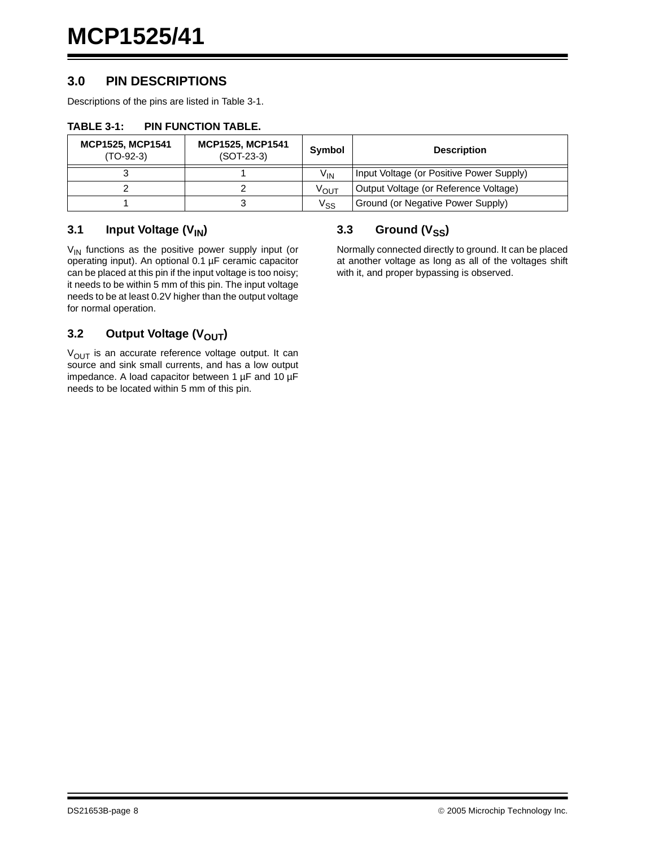# <span id="page-7-1"></span>**3.0 PIN DESCRIPTIONS**

Descriptions of the pins are listed in [Table 3-1](#page-7-0).

#### <span id="page-7-0"></span>**TABLE 3-1: PIN FUNCTION TABLE.**

| <b>MCP1525, MCP1541</b><br>$(TO-92-3)$ | <b>MCP1525, MCP1541</b><br>$(SOT-23-3)$ | Symbol           | <b>Description</b>                       |
|----------------------------------------|-----------------------------------------|------------------|------------------------------------------|
|                                        |                                         | $V_{IN}$         | Input Voltage (or Positive Power Supply) |
|                                        |                                         | V <sub>ΩUT</sub> | Output Voltage (or Reference Voltage)    |
|                                        |                                         | $V_{SS}$         | Ground (or Negative Power Supply)        |

# **3.1** Input Voltage (V<sub>IN</sub>)

 $V_{IN}$  functions as the positive power supply input (or operating input). An optional 0.1 µF ceramic capacitor can be placed at this pin if the input voltage is too noisy; it needs to be within 5 mm of this pin. The input voltage needs to be at least 0.2V higher than the output voltage for normal operation.

# **3.2** Output Voltage (V<sub>OUT</sub>)

 $V<sub>OUT</sub>$  is an accurate reference voltage output. It can source and sink small currents, and has a low output impedance. A load capacitor between 1 µF and 10 µF needs to be located within 5 mm of this pin.

# 3.3 Ground (V<sub>SS</sub>)

Normally connected directly to ground. It can be placed at another voltage as long as all of the voltages shift with it, and proper bypassing is observed.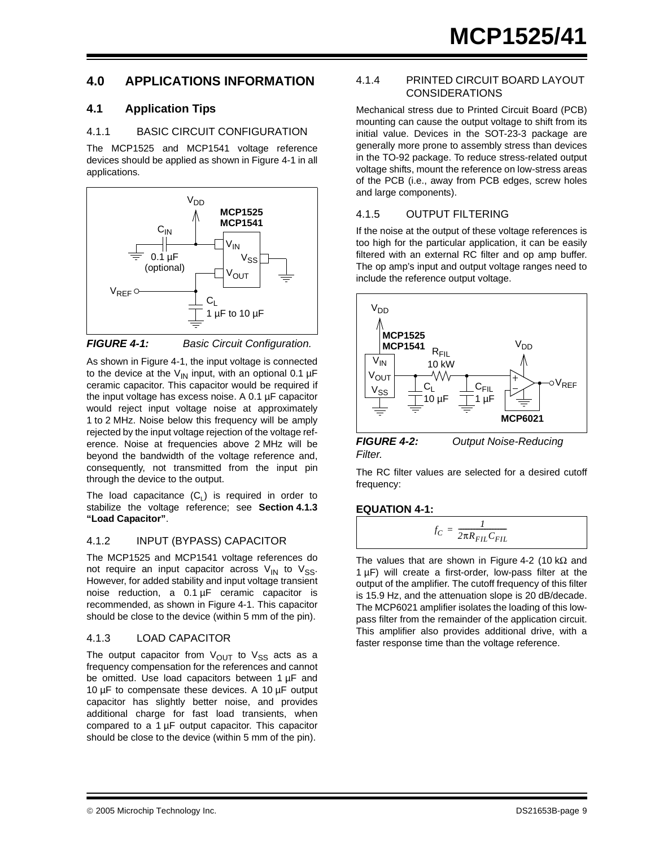# **4.0 APPLICATIONS INFORMATION**

# **4.1 Application Tips**

#### 4.1.1 BASIC CIRCUIT CONFIGURATION

The MCP1525 and MCP1541 voltage reference devices should be applied as shown in [Figure 4-1](#page-8-0) in all applications.





<span id="page-8-0"></span>*FIGURE 4-1: Basic Circuit Configuration.*

As shown in [Figure 4-1](#page-8-0), the input voltage is connected to the device at the  $V_{1N}$  input, with an optional 0.1  $\mu$ F ceramic capacitor. This capacitor would be required if the input voltage has excess noise. A 0.1 µF capacitor would reject input voltage noise at approximately 1 to 2 MHz. Noise below this frequency will be amply rejected by the input voltage rejection of the voltage reference. Noise at frequencies above 2 MHz will be beyond the bandwidth of the voltage reference and, consequently, not transmitted from the input pin through the device to the output.

The load capacitance  $(C_1)$  is required in order to stabilize the voltage reference; see **[Section 4.1.3](#page-8-1) ["Load Capacitor"](#page-8-1)**.

# 4.1.2 INPUT (BYPASS) CAPACITOR

The MCP1525 and MCP1541 voltage references do not require an input capacitor across  $V_{IN}$  to  $V_{SS}$ . However, for added stability and input voltage transient noise reduction, a 0.1 µF ceramic capacitor is recommended, as shown in [Figure 4-1.](#page-8-0) This capacitor should be close to the device (within 5 mm of the pin).

# <span id="page-8-1"></span>4.1.3 LOAD CAPACITOR

The output capacitor from  $V_{\text{OUT}}$  to  $V_{SS}$  acts as a frequency compensation for the references and cannot be omitted. Use load capacitors between 1 µF and 10 µF to compensate these devices. A 10 µF output capacitor has slightly better noise, and provides additional charge for fast load transients, when compared to a 1 µF output capacitor. This capacitor should be close to the device (within 5 mm of the pin).

### 4.1.4 PRINTED CIRCUIT BOARD LAYOUT CONSIDERATIONS

Mechanical stress due to Printed Circuit Board (PCB) mounting can cause the output voltage to shift from its initial value. Devices in the SOT-23-3 package are generally more prone to assembly stress than devices in the TO-92 package. To reduce stress-related output voltage shifts, mount the reference on low-stress areas of the PCB (i.e., away from PCB edges, screw holes and large components).

# 4.1.5 OUTPUT FILTERING

If the noise at the output of these voltage references is too high for the particular application, it can be easily filtered with an external RC filter and op amp buffer. The op amp's input and output voltage ranges need to include the reference output voltage.



<span id="page-8-2"></span>

| <b>FIGURE 4-2:</b> | <b>Output Noise-Reducing</b> |
|--------------------|------------------------------|
| Filter.            |                              |

The RC filter values are selected for a desired cutoff frequency:

# **EQUATION 4-1:**

$$
f_C = \frac{1}{2\pi R_{FIL} C_{FIL}}
$$

The values that are shown in [Figure 4-2](#page-8-2) (10 k $\Omega$  and 1 µF) will create a first-order, low-pass filter at the output of the amplifier. The cutoff frequency of this filter is 15.9 Hz, and the attenuation slope is 20 dB/decade. The MCP6021 amplifier isolates the loading of this lowpass filter from the remainder of the application circuit. This amplifier also provides additional drive, with a faster response time than the voltage reference.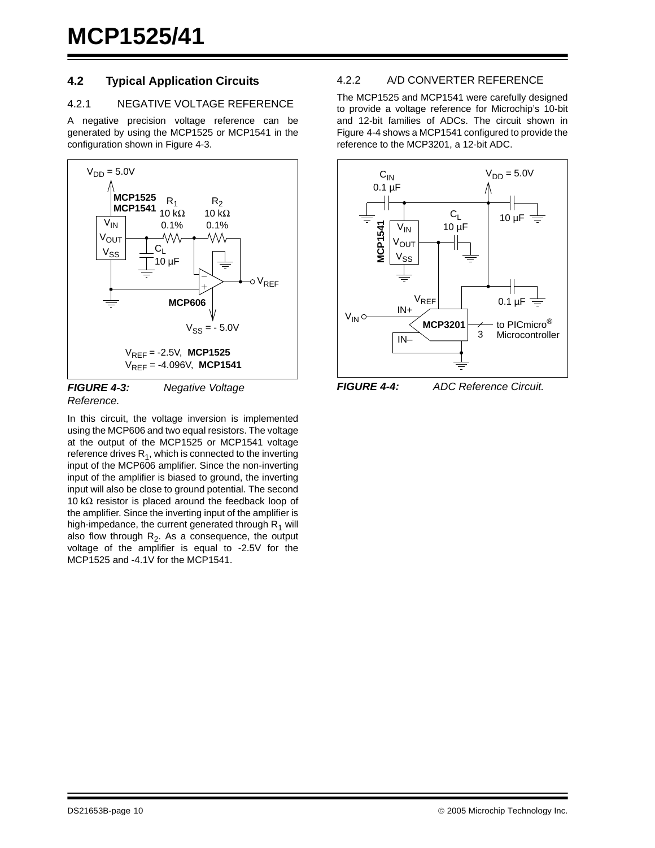# **4.2 Typical Application Circuits**

# 4.2.1 NEGATIVE VOLTAGE REFERENCE

A negative precision voltage reference can be generated by using the MCP1525 or MCP1541 in the configuration shown in [Figure 4-3.](#page-9-0)



<span id="page-9-0"></span>

In this circuit, the voltage inversion is implemented using the MCP606 and two equal resistors. The voltage at the output of the MCP1525 or MCP1541 voltage reference drives  $R_1$ , which is connected to the inverting input of the MCP606 amplifier. Since the non-inverting input of the amplifier is biased to ground, the inverting input will also be close to ground potential. The second 10 kΩ resistor is placed around the feedback loop of the amplifier. Since the inverting input of the amplifier is high-impedance, the current generated through  $R_1$  will also flow through  $R<sub>2</sub>$ . As a consequence, the output voltage of the amplifier is equal to -2.5V for the MCP1525 and -4.1V for the MCP1541.

# 4.2.2 A/D CONVERTER REFERENCE

The MCP1525 and MCP1541 were carefully designed to provide a voltage reference for Microchip's 10-bit and 12-bit families of ADCs. The circuit shown in [Figure 4-4](#page-9-1) shows a MCP1541 configured to provide the reference to the MCP3201, a 12-bit ADC.





<span id="page-9-1"></span>*FIGURE 4-4: ADC Reference Circuit.*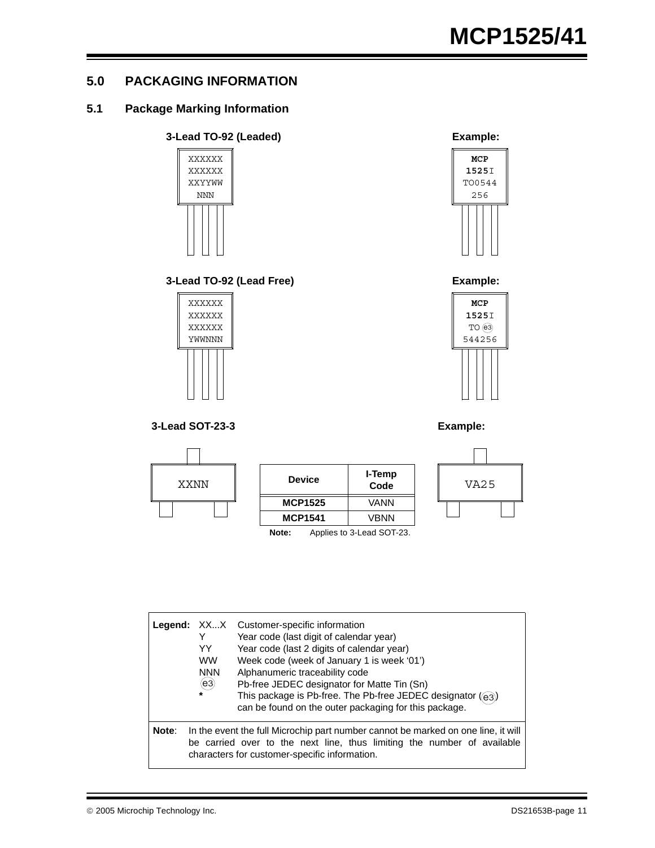# <span id="page-10-0"></span>**5.0 PACKAGING INFORMATION**

# **5.1 Package Marking Information**

### **3-Lead TO-92 (Leaded)**



#### **3-Lead TO-92 (Lead Free)**



**3-Lead SOT-23-3**



| <b>Device</b>  | I-Temp<br>Code | VA25 |
|----------------|----------------|------|
| <b>MCP1525</b> | VANN           |      |
| <b>MCP1541</b> | VBNN           |      |

**Note:** Applies to 3-Lead SOT-23.









**Example:**



**Legend:** XX...X Customer-specific information<br>Y Year code (last digit of calenda Y Year code (last digit of calendar year)<br>YY Year code (last 2 digits of calendar ye YY Year code (last 2 digits of calendar year)<br>WW Week code (week of January 1 is week ' WW Week code (week of January 1 is week '01')<br>NNN Alphanumeric traceability code Alphanumeric traceability code Pb-free JEDEC designator for Matte Tin (Sn) \* This package is Pb-free. The Pb-free JEDEC designator ((e3)) can be found on the outer packaging for this package. **Note**: In the event the full Microchip part number cannot be marked on one line, it will be carried over to the next line, thus limiting the number of available characters for customer-specific information.  $(e3)$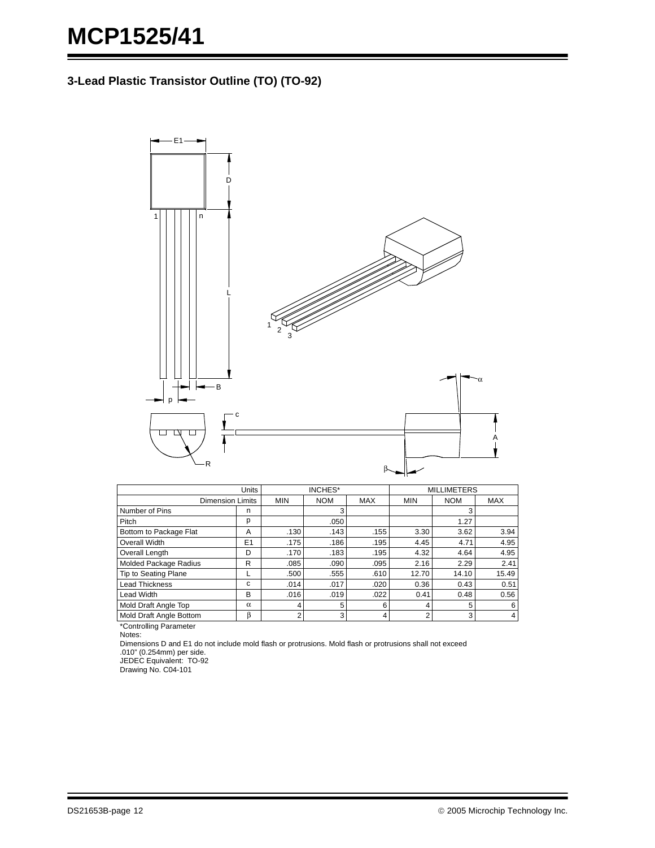**3-Lead Plastic Transistor Outline (TO) (TO-92)**



|                         | <b>Units</b> | INCHES*    |            |            | <b>MILLIMETERS</b> |            |            |
|-------------------------|--------------|------------|------------|------------|--------------------|------------|------------|
| <b>Dimension Limits</b> |              | <b>MIN</b> | <b>NOM</b> | <b>MAX</b> | <b>MIN</b>         | <b>NOM</b> | <b>MAX</b> |
| Number of Pins          | n            |            |            |            |                    |            |            |
| Pitch                   | p            |            | .050       |            |                    | 1.27       |            |
| Bottom to Package Flat  | A            | .130       | .143       | .155       | 3.30               | 3.62       | 3.94       |
| Overall Width           | E1           | .175       | .186       | .195       | 4.45               | 4.71       | 4.95       |
| Overall Length          | D            | .170       | .183       | .195       | 4.32               | 4.64       | 4.95       |
| Molded Package Radius   | R            | .085       | .090       | .095       | 2.16               | 2.29       | 2.41       |
| Tip to Seating Plane    |              | .500       | .555       | .610       | 12.70              | 14.10      | 15.49      |
| <b>Lead Thickness</b>   | c            | .014       | .017       | .020       | 0.36               | 0.43       | 0.51       |
| Lead Width              | B            | .016       | .019       | .022       | 0.41               | 0.48       | 0.56       |
| Mold Draft Angle Top    | $\alpha$     | 4          | 5          | 6          | 4                  | 5          | 6          |
| Mold Draft Angle Bottom | β            |            | 3          | 4          | າ                  | 3          | 4          |

\*Controlling Parameter

Notes:

Dimensions D and E1 do not include mold flash or protrusions. Mold flash or protrusions shall not exceed .010" (0.254mm) per side.

JEDEC Equivalent: TO-92

Drawing No. C04-101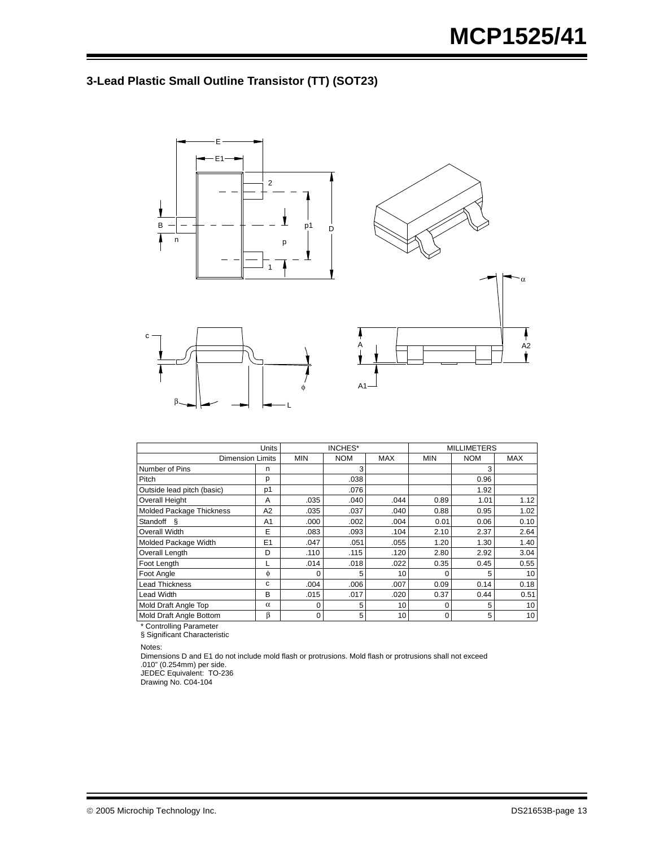# **3-Lead Plastic Small Outline Transistor (TT) (SOT23)**







|                            | <b>Units</b>   | INCHES*    |            |            | <b>MILLIMETERS</b> |            |            |
|----------------------------|----------------|------------|------------|------------|--------------------|------------|------------|
| <b>Dimension Limits</b>    |                | <b>MIN</b> | <b>NOM</b> | <b>MAX</b> | <b>MIN</b>         | <b>NOM</b> | <b>MAX</b> |
| Number of Pins             | n              |            |            |            |                    |            |            |
| Pitch                      | р              |            | .038       |            |                    | 0.96       |            |
| Outside lead pitch (basic) | p1             |            | .076       |            |                    | 1.92       |            |
| <b>Overall Height</b>      | A              | .035       | .040       | .044       | 0.89               | 1.01       | 1.12       |
| Molded Package Thickness   | A <sub>2</sub> | .035       | .037       | .040       | 0.88               | 0.95       | 1.02       |
| Standoff §                 | A <sub>1</sub> | .000       | .002       | .004       | 0.01               | 0.06       | 0.10       |
| Overall Width              | E              | .083       | .093       | .104       | 2.10               | 2.37       | 2.64       |
| Molded Package Width       | E1             | .047       | .051       | .055       | 1.20               | 1.30       | 1.40       |
| Overall Length             | D              | .110       | .115       | .120       | 2.80               | 2.92       | 3.04       |
| Foot Length                | L              | .014       | .018       | .022       | 0.35               | 0.45       | 0.55       |
| Foot Angle                 | φ              | 0          | 5          | 10         | $\Omega$           | 5          | 10         |
| <b>Lead Thickness</b>      | c              | .004       | .006       | .007       | 0.09               | 0.14       | 0.18       |
| Lead Width                 | B              | .015       | .017       | .020       | 0.37               | 0.44       | 0.51       |
| Mold Draft Angle Top       | $\alpha$       | 0          | 5          | 10         | 0                  | 5          | 10         |
| Mold Draft Angle Bottom    | β              | 0          | 5          | 10         | 0                  | 5          | 10         |

\* Controlling Parameter

§ Significant Characteristic

Notes:

Dimensions D and E1 do not include mold flash or protrusions. Mold flash or protrusions shall not exceed .010" (0.254mm) per side.

JEDEC Equivalent: TO-236 Drawing No. C04-104

© 2005 Microchip Technology Inc. DS21653B-page 13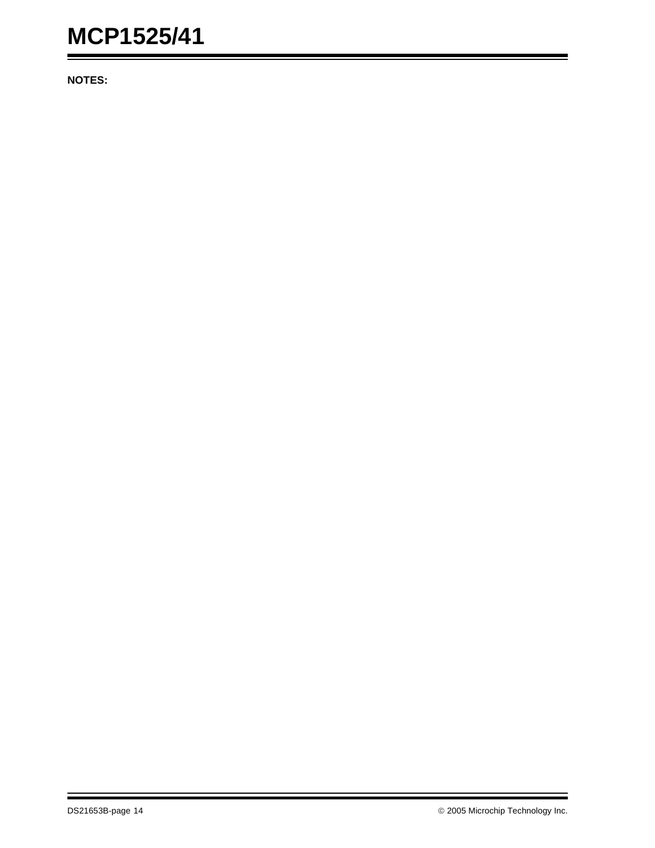**NOTES:**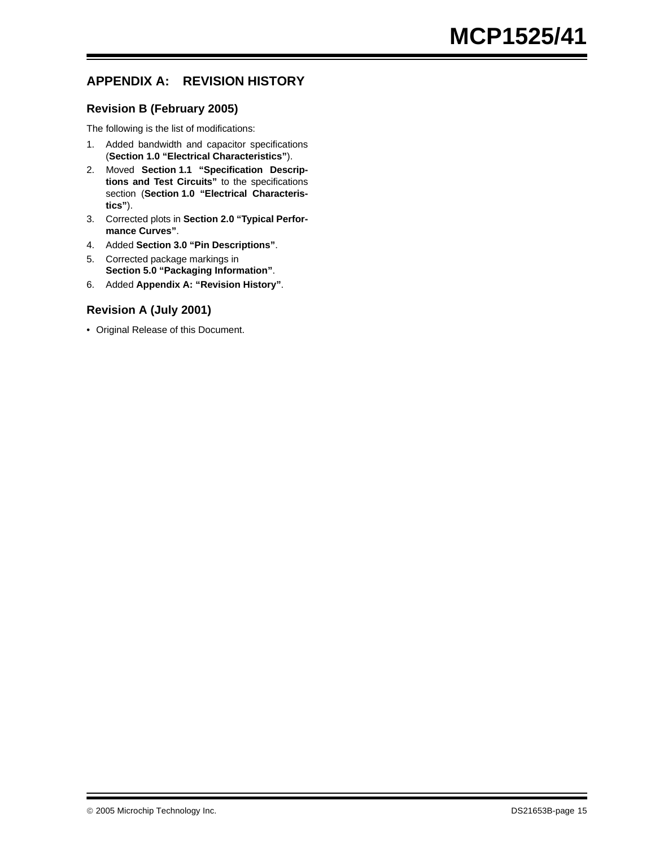# <span id="page-14-0"></span>**APPENDIX A: REVISION HISTORY**

# **Revision B (February 2005)**

The following is the list of modifications:

- 1. Added bandwidth and capacitor specifications (**[Section 1.0 "Electrical Characteristics"](#page-1-2)**).
- 2. Moved **[Section 1.1 "Specification Descrip](#page-2-3)[tions and Test Circuits"](#page-2-3)** to the specifications section (**[Section 1.0 "Electrical Characteris](#page-1-2)[tics"](#page-1-2)**).
- 3. Corrected plots in **[Section 2.0 "Typical Perfor](#page-4-0)[mance Curves"](#page-4-0)**.
- 4. Added **[Section 3.0 "Pin Descriptions"](#page-7-1)**.
- 5. Corrected package markings in **[Section 5.0 "Packaging Information"](#page-10-0)**.
- 6. Added **[Appendix A: "Revision History"](#page-14-0)**.

# **Revision A (July 2001)**

• Original Release of this Document.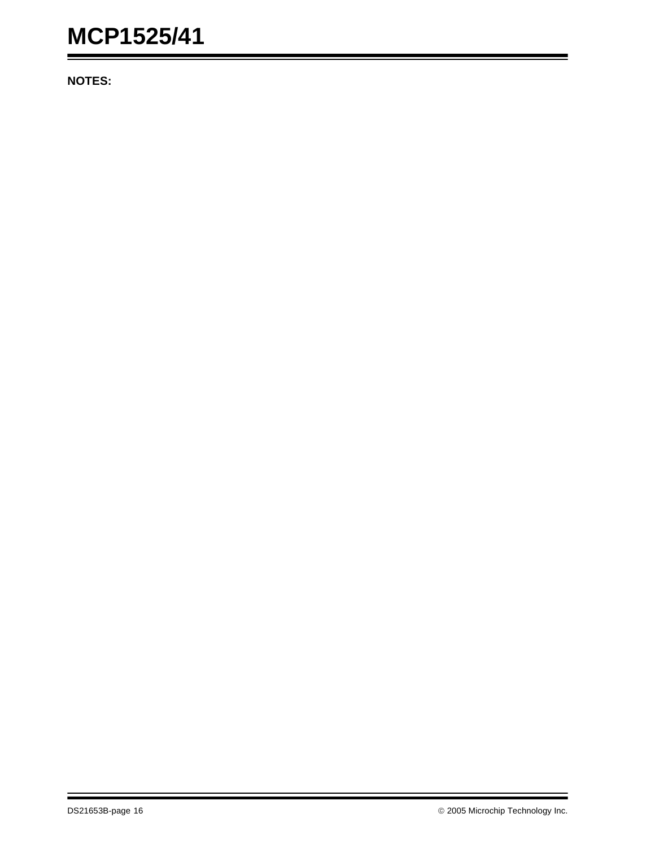**NOTES:**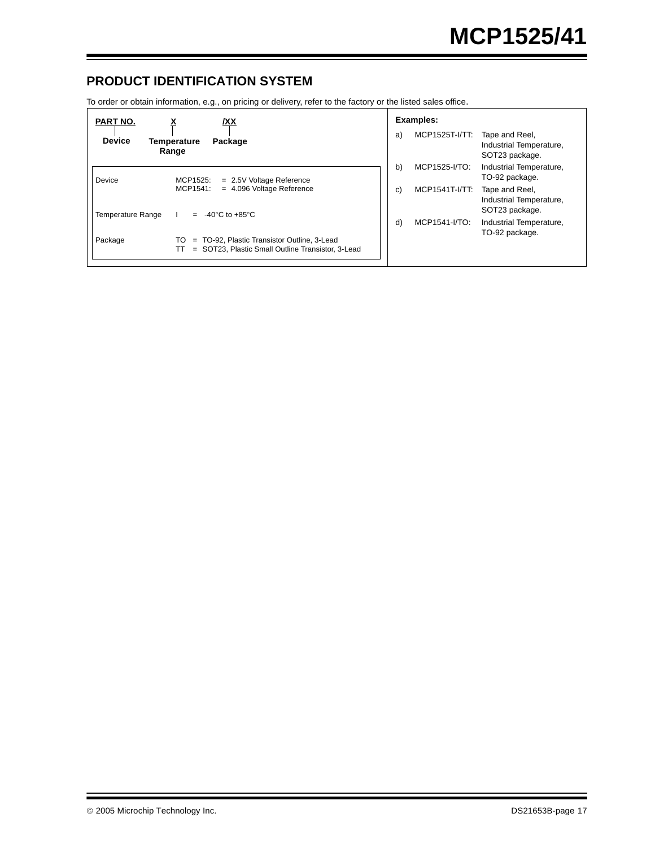# **PRODUCT IDENTIFICATION SYSTEM**

To order or obtain information, e.g., on pricing or delivery, refer to the factory or the listed sales office.

| <b>PART NO.</b>          | <u> IXX</u>                                                                                                 |    | Examples:      |                                                             |  |  |  |
|--------------------------|-------------------------------------------------------------------------------------------------------------|----|----------------|-------------------------------------------------------------|--|--|--|
| <b>Device</b>            | Package<br>Temperature<br>Range                                                                             | a) | MCP1525T-I/TT: | Tape and Reel,<br>Industrial Temperature,<br>SOT23 package. |  |  |  |
| Device                   | $= 2.5V$ Voltage Reference<br>MCP1525:                                                                      | b) | MCP1525-I/TO:  | Industrial Temperature,<br>TO-92 package.                   |  |  |  |
| <b>Temperature Range</b> | $= 4.096$ Voltage Reference<br>MCP1541:<br>$= -40^{\circ}$ C to $+85^{\circ}$ C                             | C) | MCP1541T-I/TT: | Tape and Reel,<br>Industrial Temperature,<br>SOT23 package. |  |  |  |
|                          |                                                                                                             | d) | MCP1541-I/TO:  | Industrial Temperature,<br>TO-92 package.                   |  |  |  |
| Package                  | TO-92, Plastic Transistor Outline, 3-Lead<br>то<br>$=$<br>= SOT23, Plastic Small Outline Transistor, 3-Lead |    |                |                                                             |  |  |  |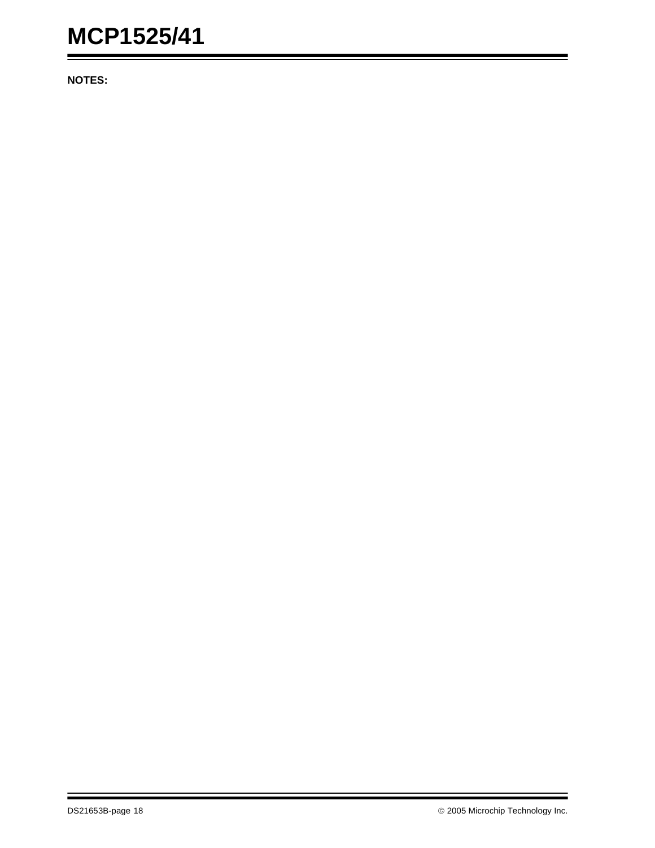**NOTES:**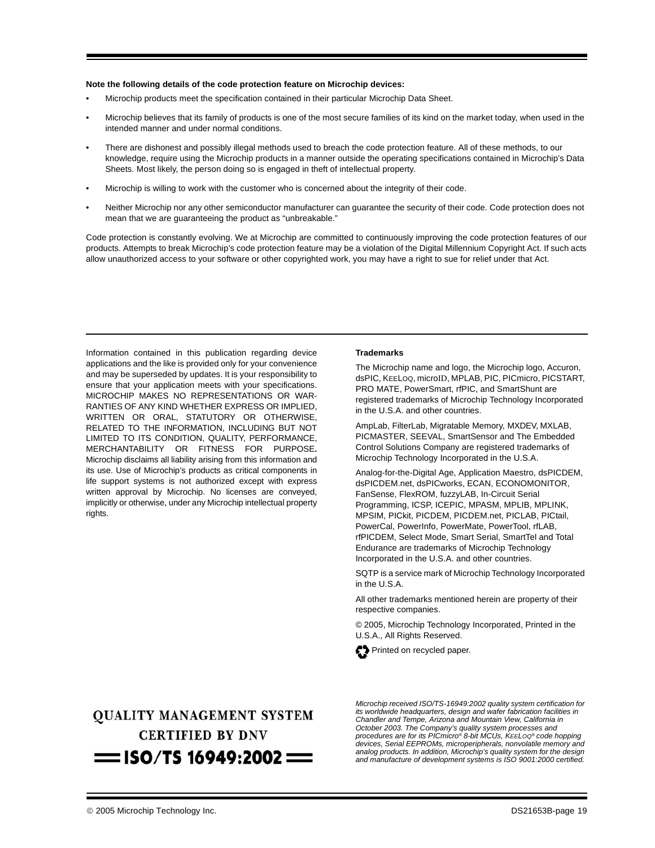#### **Note the following details of the code protection feature on Microchip devices:**

- Microchip products meet the specification contained in their particular Microchip Data Sheet.
- Microchip believes that its family of products is one of the most secure families of its kind on the market today, when used in the intended manner and under normal conditions.
- There are dishonest and possibly illegal methods used to breach the code protection feature. All of these methods, to our knowledge, require using the Microchip products in a manner outside the operating specifications contained in Microchip's Data Sheets. Most likely, the person doing so is engaged in theft of intellectual property.
- Microchip is willing to work with the customer who is concerned about the integrity of their code.
- Neither Microchip nor any other semiconductor manufacturer can guarantee the security of their code. Code protection does not mean that we are guaranteeing the product as "unbreakable."

Code protection is constantly evolving. We at Microchip are committed to continuously improving the code protection features of our products. Attempts to break Microchip's code protection feature may be a violation of the Digital Millennium Copyright Act. If such acts allow unauthorized access to your software or other copyrighted work, you may have a right to sue for relief under that Act.

Information contained in this publication regarding device applications and the like is provided only for your convenience and may be superseded by updates. It is your responsibility to ensure that your application meets with your specifications. MICROCHIP MAKES NO REPRESENTATIONS OR WAR-RANTIES OF ANY KIND WHETHER EXPRESS OR IMPLIED, WRITTEN OR ORAL, STATUTORY OR OTHERWISE, RELATED TO THE INFORMATION, INCLUDING BUT NOT LIMITED TO ITS CONDITION, QUALITY, PERFORMANCE, MERCHANTABILITY OR FITNESS FOR PURPOSE**.** Microchip disclaims all liability arising from this information and its use. Use of Microchip's products as critical components in life support systems is not authorized except with express written approval by Microchip. No licenses are conveyed, implicitly or otherwise, under any Microchip intellectual property rights.

#### **Trademarks**

The Microchip name and logo, the Microchip logo, Accuron, dsPIC, KEELOQ, microID, MPLAB, PIC, PICmicro, PICSTART, PRO MATE, PowerSmart, rfPIC, and SmartShunt are registered trademarks of Microchip Technology Incorporated in the U.S.A. and other countries.

AmpLab, FilterLab, Migratable Memory, MXDEV, MXLAB, PICMASTER, SEEVAL, SmartSensor and The Embedded Control Solutions Company are registered trademarks of Microchip Technology Incorporated in the U.S.A.

Analog-for-the-Digital Age, Application Maestro, dsPICDEM, dsPICDEM.net, dsPICworks, ECAN, ECONOMONITOR, FanSense, FlexROM, fuzzyLAB, In-Circuit Serial Programming, ICSP, ICEPIC, MPASM, MPLIB, MPLINK, MPSIM, PICkit, PICDEM, PICDEM.net, PICLAB, PICtail, PowerCal, PowerInfo, PowerMate, PowerTool, rfLAB, rfPICDEM, Select Mode, Smart Serial, SmartTel and Total Endurance are trademarks of Microchip Technology Incorporated in the U.S.A. and other countries.

SQTP is a service mark of Microchip Technology Incorporated in the U.S.A.

All other trademarks mentioned herein are property of their respective companies.

© 2005, Microchip Technology Incorporated, Printed in the U.S.A., All Rights Reserved.



# **OUALITY MANAGEMENT SYSTEM CERTIFIED BY DNV**  $=$  ISO/TS 16949:2002  $=$

*Microchip received ISO/TS-16949:2002 quality system certification for its worldwide headquarters, design and wafer fabrication facilities in Chandler and Tempe, Arizona and Mountain View, California in October 2003. The Company's quality system processes and procedures are for its PICmicro® 8-bit MCUs, KEELOQ® code hopping devices, Serial EEPROMs, microperipherals, nonvolatile memory and analog products. In addition, Microchip's quality system for the design and manufacture of development systems is ISO 9001:2000 certified.*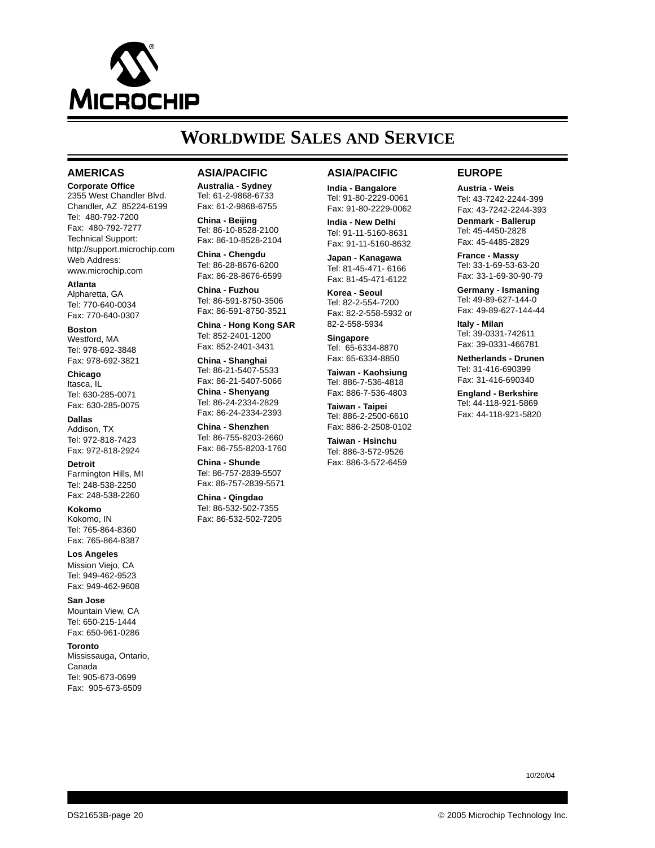

# **WORLDWIDE SALES AND SERVICE**

#### **AMERICAS**

**Corporate Office** 2355 West Chandler Blvd. Chandler, AZ 85224-6199 Tel: 480-792-7200 Fax: 480-792-7277 Technical Support: http://support.microchip.com Web Address: www.microchip.com

**Atlanta** Alpharetta, GA Tel: 770-640-0034 Fax: 770-640-0307

**Boston** Westford, MA Tel: 978-692-3848 Fax: 978-692-3821

**Chicago** Itasca, IL Tel: 630-285-0071 Fax: 630-285-0075

**Dallas** Addison, TX Tel: 972-818-7423 Fax: 972-818-2924

**Detroit** Farmington Hills, MI Tel: 248-538-2250 Fax: 248-538-2260

**Kokomo** Kokomo, IN Tel: 765-864-8360 Fax: 765-864-8387

**Los Angeles** Mission Viejo, CA Tel: 949-462-9523 Fax: 949-462-9608

**San Jose** Mountain View, CA Tel: 650-215-1444 Fax: 650-961-0286

**Toronto** Mississauga, Ontario, Canada Tel: 905-673-0699 Fax: 905-673-6509

#### **ASIA/PACIFIC**

**Australia - Sydney** Tel: 61-2-9868-6733 Fax: 61-2-9868-6755

**China - Beijing** Tel: 86-10-8528-2100 Fax: 86-10-8528-2104

**China - Chengdu** Tel: 86-28-8676-6200 Fax: 86-28-8676-6599

**China - Fuzhou** Tel: 86-591-8750-3506 Fax: 86-591-8750-3521

**China - Hong Kong SAR** Tel: 852-2401-1200 Fax: 852-2401-3431

**China - Shanghai** Tel: 86-21-5407-5533 Fax: 86-21-5407-5066 **China - Shenyang** Tel: 86-24-2334-2829 Fax: 86-24-2334-2393

**China - Shenzhen** Tel: 86-755-8203-2660 Fax: 86-755-8203-1760

**China - Shunde** Tel: 86-757-2839-5507 Fax: 86-757-2839-5571

**China - Qingdao** Tel: 86-532-502-7355 Fax: 86-532-502-7205

#### **ASIA/PACIFIC**

**India - Bangalore** Tel: 91-80-2229-0061 Fax: 91-80-2229-0062

**India - New Delhi** Tel: 91-11-5160-8631 Fax: 91-11-5160-8632

**Japan - Kanagawa** Tel: 81-45-471- 6166 Fax: 81-45-471-6122

**Korea - Seoul** Tel: 82-2-554-7200 Fax: 82-2-558-5932 or 82-2-558-5934

**Singapore** Tel: 65-6334-8870 Fax: 65-6334-8850

**Taiwan - Kaohsiung** Tel: 886-7-536-4818

Fax: 886-7-536-4803 **Taiwan - Taipei** Tel: 886-2-2500-6610 Fax: 886-2-2508-0102

**Taiwan - Hsinchu** Tel: 886-3-572-9526 Fax: 886-3-572-6459

#### **EUROPE**

**Austria - Weis** Tel: 43-7242-2244-399 Fax: 43-7242-2244-393 **Denmark - Ballerup** Tel: 45-4450-2828 Fax: 45-4485-2829

**France - Massy** Tel: 33-1-69-53-63-20 Fax: 33-1-69-30-90-79

**Germany - Ismaning** Tel: 49-89-627-144-0 Fax: 49-89-627-144-44

**Italy - Milan**  Tel: 39-0331-742611 Fax: 39-0331-466781

**Netherlands - Drunen** Tel: 31-416-690399 Fax: 31-416-690340

**England - Berkshire** Tel: 44-118-921-5869 Fax: 44-118-921-5820